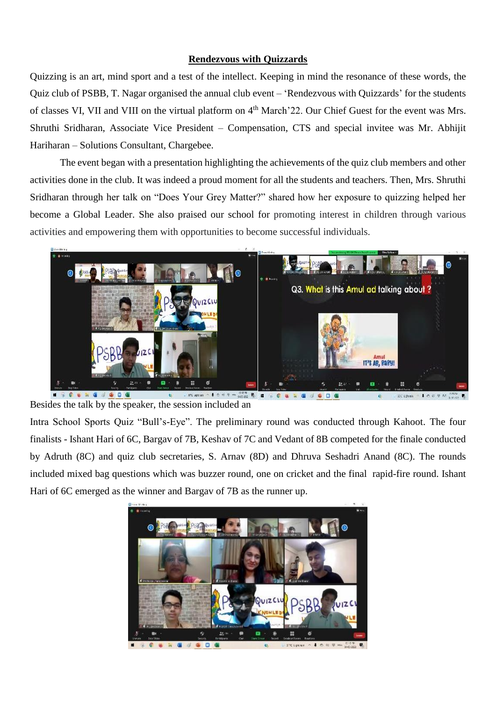## **Rendezvous with Quizzards**

Quizzing is an art, mind sport and a test of the intellect. Keeping in mind the resonance of these words, the Quiz club of PSBB, T. Nagar organised the annual club event – 'Rendezvous with Quizzards' for the students of classes VI, VII and VIII on the virtual platform on 4<sup>th</sup> March'22. Our Chief Guest for the event was Mrs. Shruthi Sridharan, Associate Vice President – Compensation, CTS and special invitee was Mr. Abhijit Hariharan – Solutions Consultant, Chargebee.

The event began with a presentation highlighting the achievements of the quiz club members and other activities done in the club. It was indeed a proud moment for all the students and teachers. Then, Mrs. Shruthi Sridharan through her talk on "Does Your Grey Matter?" shared how her exposure to quizzing helped her become a Global Leader. She also praised our school for promoting interest in children through various activities and empowering them with opportunities to become successful individuals.



Besides the talk by the speaker, the session included an

Intra School Sports Quiz "Bull's-Eye". The preliminary round was conducted through Kahoot. The four finalists - Ishant Hari of 6C, Bargav of 7B, Keshav of 7C and Vedant of 8B competed for the finale conducted by Adruth (8C) and quiz club secretaries, S. Arnav (8D) and Dhruva Seshadri Anand (8C). The rounds included mixed bag questions which was buzzer round, one on cricket and the final rapid-fire round. Ishant Hari of 6C emerged as the winner and Bargav of 7B as the runner up.